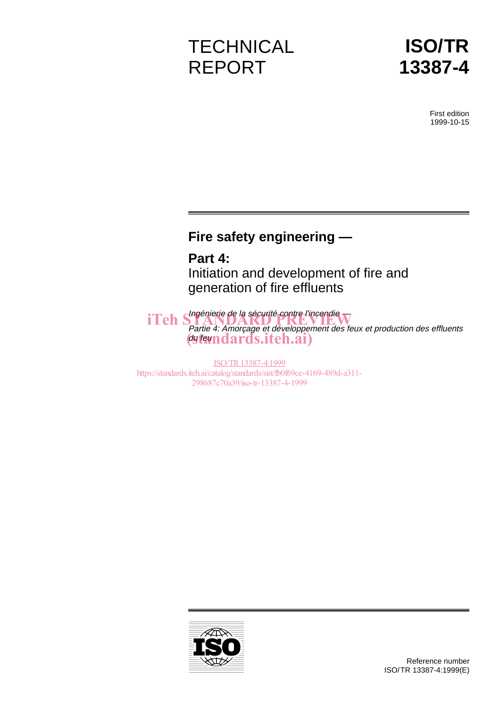# **TECHNICAL** REPORT



First edition 1999-10-15

# **Fire safety engineering —**

**Part 4:** Initiation and development of fire and generation of fire effluents

iTeh Shapenierie de la sécurité contre l'incendie Partie 4: Amorçage et développement des feux et production des effluents du feundards.iteh.ai)

ISO/TR13387-4:1999 https://standards.iteh.ai/catalog/standards/sist/fb0f69ce-4169-489d-a311- 298687c70a39/iso-tr-13387-4-1999

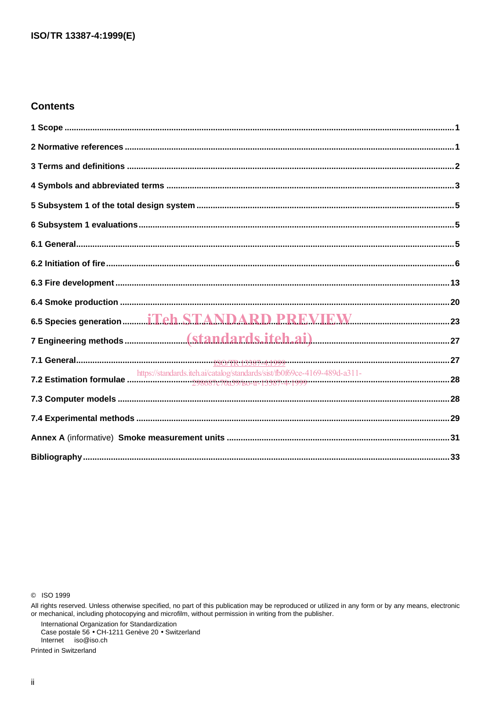### **Contents**

| 6.5 Species generation  iTch STANDARD PREVIEW |  |
|-----------------------------------------------|--|
|                                               |  |
|                                               |  |
|                                               |  |
|                                               |  |
|                                               |  |
|                                               |  |
|                                               |  |

C ISO 1999

International Organization for Standardization<br>Case postale 56 • CH-1211 Genève 20 • Switzerland Internet iso@iso.ch

Printed in Switzerland

All rights reserved. Unless otherwise specified, no part of this publication may be reproduced or utilized in any form or by any means, electronic<br>or mechanical, including photocopying and microfilm, without permission in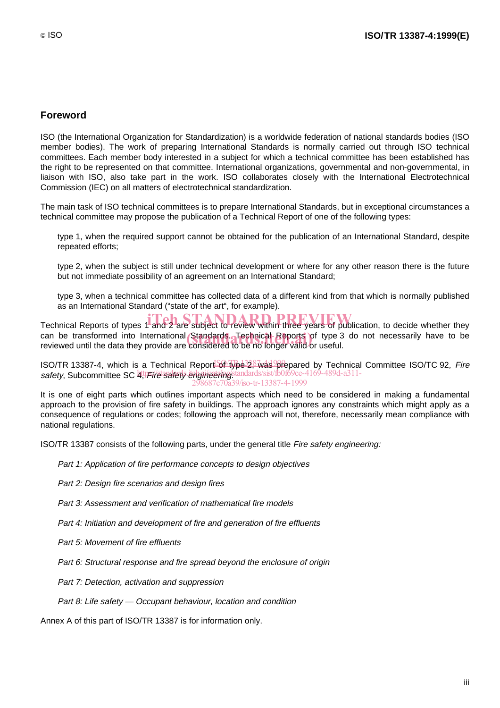# **Foreword**

ISO (the International Organization for Standardization) is a worldwide federation of national standards bodies (ISO member bodies). The work of preparing International Standards is normally carried out through ISO technical committees. Each member body interested in a subject for which a technical committee has been established has the right to be represented on that committee. International organizations, governmental and non-governmental, in liaison with ISO, also take part in the work. ISO collaborates closely with the International Electrotechnical Commission (IEC) on all matters of electrotechnical standardization.

The main task of ISO technical committees is to prepare International Standards, but in exceptional circumstances a technical committee may propose the publication of a Technical Report of one of the following types:

- type 1, when the required support cannot be obtained for the publication of an International Standard, despite repeated efforts;
- type 2, when the subject is still under technical development or where for any other reason there is the future but not immediate possibility of an agreement on an International Standard;
- type 3, when a technical committee has collected data of a different kind from that which is normally published as an International Standard ("state of the art", for example).

Technical Reports of types 1 and 2 are subject to review within three years of publication, to decide whether they can be transformed into International Standards. Technical Reports of type 3 do not necessarily have to be<br>reviewed until the data they provide are considered to be no longer valid or useful reviewed until the data they provide are considered to be no longer valid or useful.

ISO/TR 13387-4, which is a Technical Report of type<sup>32, 2</sup> was prepared by Technical Committee ISO/TC 92, Fire safety, Subcommittee SC 4, Fire safety engineering standards/sist/fb0f69ce-4169-489d-a311-298687c70a39/iso-tr-13387-4-1999

It is one of eight parts which outlines important aspects which need to be considered in making a fundamental approach to the provision of fire safety in buildings. The approach ignores any constraints which might apply as a consequence of regulations or codes; following the approach will not, therefore, necessarily mean compliance with national regulations.

ISO/TR 13387 consists of the following parts, under the general title Fire safety engineering:

- Part 1: Application of fire performance concepts to design objectives
- Part 2: Design fire scenarios and design fires
- Part 3: Assessment and verification of mathematical fire models
- Part 4: Initiation and development of fire and generation of fire effluents
- Part 5: Movement of fire effluents
- Part 6: Structural response and fire spread beyond the enclosure of origin
- Part 7: Detection, activation and suppression
- $-$  Part 8: Life safety  $-$  Occupant behaviour, location and condition

Annex A of this part of ISO/TR 13387 is for information only.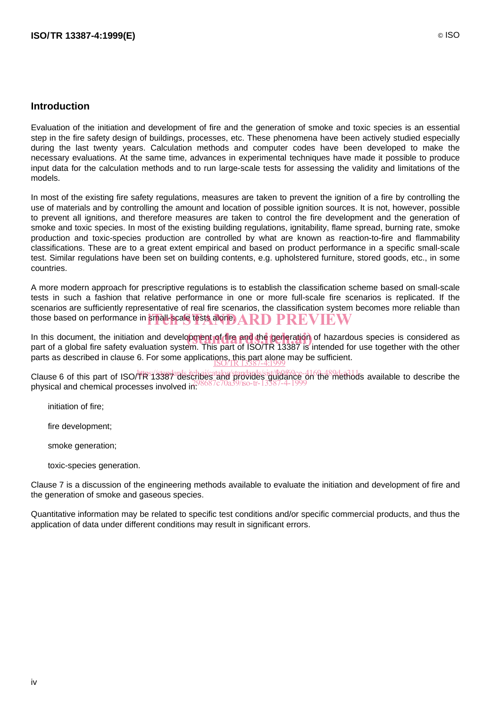### **Introduction**

Evaluation of the initiation and development of fire and the generation of smoke and toxic species is an essential step in the fire safety design of buildings, processes, etc. These phenomena have been actively studied especially during the last twenty years. Calculation methods and computer codes have been developed to make the necessary evaluations. At the same time, advances in experimental techniques have made it possible to produce input data for the calculation methods and to run large-scale tests for assessing the validity and limitations of the models.

In most of the existing fire safety regulations, measures are taken to prevent the ignition of a fire by controlling the use of materials and by controlling the amount and location of possible ignition sources. It is not, however, possible to prevent all ignitions, and therefore measures are taken to control the fire development and the generation of smoke and toxic species. In most of the existing building regulations, ignitability, flame spread, burning rate, smoke production and toxic-species production are controlled by what are known as reaction-to-fire and flammability classifications. These are to a great extent empirical and based on product performance in a specific small-scale test. Similar regulations have been set on building contents, e.g. upholstered furniture, stored goods, etc., in some countries.

A more modern approach for prescriptive regulations is to establish the classification scheme based on small-scale tests in such a fashion that relative performance in one or more full-scale fire scenarios is replicated. If the scenarios are sufficiently representative of real fire scenarios, the classification system becomes more reliable than those based on performance in small-scale tests alone. ARD  $\bf PREVIEW$ 

In this document, the initiation and development of fire and the generation of hazardous species is considered as<br>nart of a global fire safety evaluation system. This part of ISO/TP 13387 is intended for use together with part of a global fire safety evaluation system. This part of ISO/TR 13387 is intended for use together with the other parts as described in clause 6. For some applications, this part alone may be sufficient.<br><u>ISO/TR 13387-4:1999</u>

Clause 6 of this part of ISO/TR 13387 describes and provides guidance on the methods available to describe the physical and chemical processes involved in: 298687c70a39/iso-tr-13387-4-1999

- initiation of fire;
- fire development;
- smoke generation;
- toxic-species generation.

Clause 7 is a discussion of the engineering methods available to evaluate the initiation and development of fire and the generation of smoke and gaseous species.

Quantitative information may be related to specific test conditions and/or specific commercial products, and thus the application of data under different conditions may result in significant errors.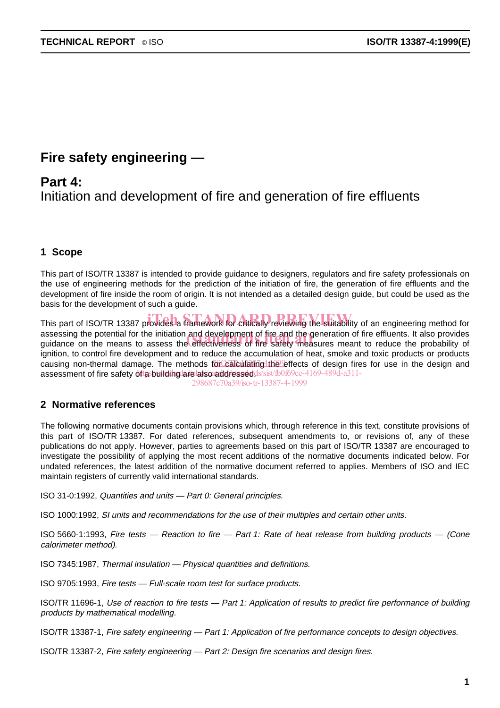# **Fire safety engineering —**

**Part 4:** Initiation and development of fire and generation of fire effluents

# **1 Scope**

This part of ISO/TR 13387 is intended to provide guidance to designers, regulators and fire safety professionals on the use of engineering methods for the prediction of the initiation of fire, the generation of fire effluents and the development of fire inside the room of origin. It is not intended as a detailed design guide, but could be used as the basis for the development of such a guide.

This part of ISO/TR 13387 provides a framework for critically reviewing the suitability of an engineering method for assessing the potential for the initiation and development of fire and the generation of fire effluents. It also provides assessing the potential for the initiation and development of fire and the generation of fire effluents. It also provides<br>guidance on the means to assess the effectiveness of fire safety measures meant to reduce the probab ignition, to control fire development and to reduce the accumulation of heat, smoke and toxic products or products causing non-thermal damage. The methods for calculating the effects of design fires for use in the design and assessment of fire safety of lasbuilding are also addressed ds/sist/fb0f69ce-4169-489d-a311-

298687c70a39/iso-tr-13387-4-1999

# **2 Normative references**

The following normative documents contain provisions which, through reference in this text, constitute provisions of this part of ISO/TR 13387. For dated references, subsequent amendments to, or revisions of, any of these publications do not apply. However, parties to agreements based on this part of ISO/TR 13387 are encouraged to investigate the possibility of applying the most recent additions of the normative documents indicated below. For undated references, the latest addition of the normative document referred to applies. Members of ISO and IEC maintain registers of currently valid international standards.

ISO 31-0:1992, Quantities and units — Part 0: General principles.

ISO 1000:1992, SI units and recommendations for the use of their multiples and certain other units.

ISO 5660-1:1993, Fire tests — Reaction to fire — Part 1: Rate of heat release from building products — (Cone calorimeter method).

ISO 7345:1987, Thermal insulation — Physical quantities and definitions.

ISO 9705:1993, Fire tests — Full-scale room test for surface products.

ISO/TR 11696-1, Use of reaction to fire tests — Part 1: Application of results to predict fire performance of building products by mathematical modelling.

ISO/TR 13387-1, Fire safety engineering — Part 1: Application of fire performance concepts to design objectives.

ISO/TR 13387-2, Fire safety engineering — Part 2: Design fire scenarios and design fires.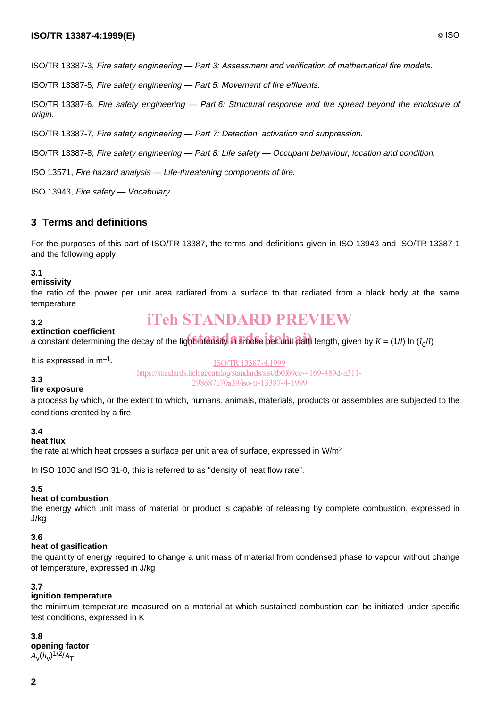### **ISO/TR 13387-4:1999(E)** © ISO

ISO/TR 13387-3, Fire safety engineering — Part 3: Assessment and verification of mathematical fire models.

ISO/TR 13387-5, Fire safety engineering — Part 5: Movement of fire effluents.

ISO/TR 13387-6, Fire safety engineering — Part 6: Structural response and fire spread beyond the enclosure of origin.

ISO/TR 13387-7, Fire safety engineering — Part 7: Detection, activation and suppression.

ISO/TR 13387-8, Fire safety engineering — Part 8: Life safety — Occupant behaviour, location and condition.

ISO 13571, Fire hazard analysis — Life-threatening components of fire.

ISO 13943, Fire safety — Vocabulary.

# **3 Terms and definitions**

For the purposes of this part of ISO/TR 13387, the terms and definitions given in ISO 13943 and ISO/TR 13387-1 and the following apply.

#### **3.1**

#### **emissivity**

the ratio of the power per unit area radiated from a surface to that radiated from a black body at the same temperature

# iTeh STANDARD PREVIEW

#### **3.2 extinction coefficient**

extinction coefficient<br>a constant determining the decay of the lighbintensity in smoke per unit path length, given by *K* = (1/*l*) ln (*I<sub>0</sub>/I*)

It is expressed in  $m^{-1}$ .

ISO/TR13387-4:1999 https://standards.iteh.ai/catalog/standards/sist/fb0f69ce-4169-489d-a311- 298687c70a39/iso-tr-13387-4-1999

#### **3.3 fire exposure**

a process by which, or the extent to which, humans, animals, materials, products or assemblies are subjected to the conditions created by a fire

#### **3.4**

#### **heat flux**

the rate at which heat crosses a surface per unit area of surface, expressed in W/m2

In ISO 1000 and ISO 31-0, this is referred to as "density of heat flow rate".

#### **3.5**

#### **heat of combustion**

the energy which unit mass of material or product is capable of releasing by complete combustion, expressed in J/kg

#### **3.6**

#### **heat of gasification**

the quantity of energy required to change a unit mass of material from condensed phase to vapour without change of temperature, expressed in J/kg

#### **3.7**

#### **ignition temperature**

the minimum temperature measured on a material at which sustained combustion can be initiated under specific test conditions, expressed in K

#### **3.8**

**opening factor**  $A_{\nu}^{\text{}}(h_{\nu})^{1/2}/A_{\text{T}}$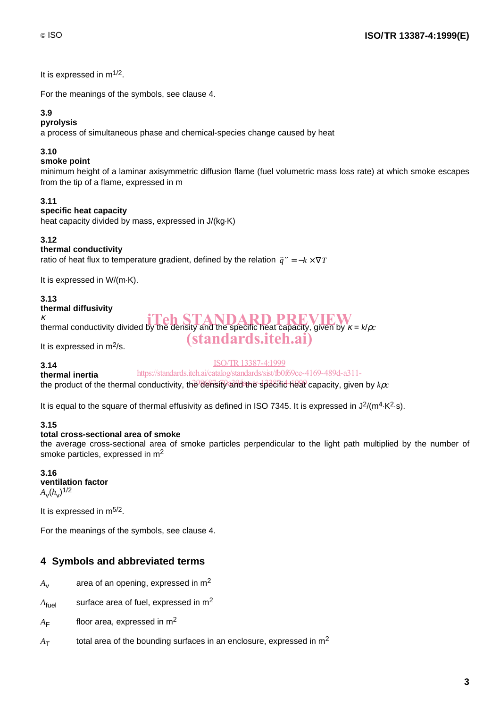It is expressed in  $m^{1/2}$ .

For the meanings of the symbols, see clause 4.

# **3.9**

### **pyrolysis**

a process of simultaneous phase and chemical-species change caused by heat

### **3.10**

### **smoke point**

minimum height of a laminar axisymmetric diffusion flame (fuel volumetric mass loss rate) at which smoke escapes from the tip of a flame, expressed in m

#### **3.11**

#### **specific heat capacity**

heat capacity divided by mass, expressed in J/(kg·K)

#### **3.12**

#### **thermal conductivity**

ratio of heat flux to temperature gradient, defined by the relation  $\vec{q}'' = -k \times \nabla T$ 

It is expressed in  $W/(m·K)$ .

#### **3.13**

#### **thermal diffusivity**

κ thermal conductivity divided by the density and the specific heat capacity, given by  $\kappa = k/\rho_c$ iTeh STANDARD PREVIEW

(standards.iteh.ai)

It is expressed in  $m^2/s$ .

#### ISO/TR13387-4:1999

**3.14**

**thermal inertia** the product of the thermal conductivity, the density and the specific heat capacity, given by *kpc* https://standards.iteh.ai/catalog/standards/sist/fb0f69ce-4169-489d-a311-

It is equal to the square of thermal effusivity as defined in ISO 7345. It is expressed in  $J^2/(m^4 \cdot K^2 \cdot s)$ .

#### **3.15**

#### **total cross-sectional area of smoke**

the average cross-sectional area of smoke particles perpendicular to the light path multiplied by the number of smoke particles, expressed in m2

#### **3.16 ventilation factor**  $A_v(h_v)^{1/2}$

It is expressed in  $m^{5/2}$ .

For the meanings of the symbols, see clause 4.

# **4 Symbols and abbreviated terms**

- $A_v$  area of an opening, expressed in m<sup>2</sup>
- $A_{\text{fuel}}$  surface area of fuel, expressed in m<sup>2</sup>
- $A_F$  floor area, expressed in m<sup>2</sup>
- $A<sub>T</sub>$  total area of the bounding surfaces in an enclosure, expressed in m<sup>2</sup>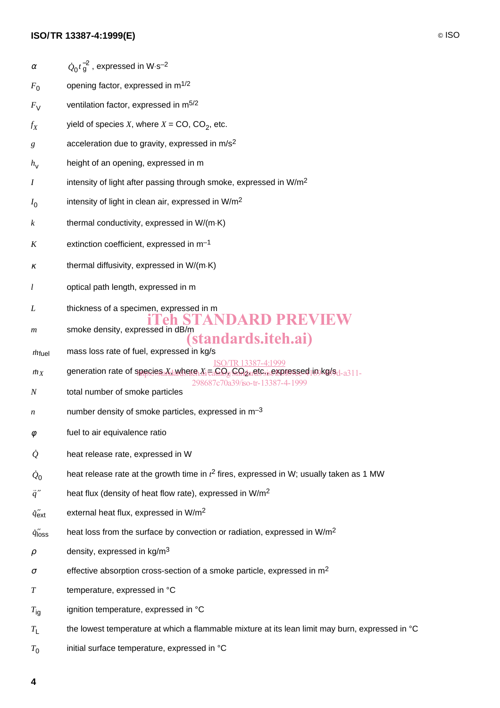|                       | ISO/TR 13387-4:1999(E)                                                                                                                                                                       |
|-----------------------|----------------------------------------------------------------------------------------------------------------------------------------------------------------------------------------------|
| $\alpha$              | $Q_0 t_{\rm q}^{-2}$ , expressed in W·s <sup>-2</sup>                                                                                                                                        |
| $F_{0}$               | opening factor, expressed in m <sup>1/2</sup>                                                                                                                                                |
| $F_{V}$               | ventilation factor, expressed in m <sup>5/2</sup>                                                                                                                                            |
| $f_X$                 | yield of species X, where $X = CO$ , $CO2$ , etc.                                                                                                                                            |
| g                     | acceleration due to gravity, expressed in m/s <sup>2</sup>                                                                                                                                   |
| $h_{\mathsf{V}}$      | height of an opening, expressed in m                                                                                                                                                         |
| Ι                     | intensity of light after passing through smoke, expressed in W/m <sup>2</sup>                                                                                                                |
| $I_0$                 | intensity of light in clean air, expressed in W/m <sup>2</sup>                                                                                                                               |
| $\boldsymbol{k}$      | thermal conductivity, expressed in W/(m·K)                                                                                                                                                   |
| Κ                     | extinction coefficient, expressed in $m^{-1}$                                                                                                                                                |
| κ                     | thermal diffusivity, expressed in W/(m·K)                                                                                                                                                    |
| l                     | optical path length, expressed in m                                                                                                                                                          |
| L                     | thickness of a specimen, expressed in m<br>eh STANDARD PREVIEW                                                                                                                               |
| m                     | smoke density, expressed in dB/m<br>standards.iteh.ai)                                                                                                                                       |
| $m$ fuel              | mass loss rate of fuel, expressed in kg/s<br>ISO/TR 13387-4:1999                                                                                                                             |
| mx                    | generation rate of species X <sub>d</sub> where X <sub>i</sub> =3GO <sub>g</sub> CO <sub>dar</sub> etc <sub>is</sub> expressed in kg/s <sub>d-a311</sub><br>298687c70a39/iso-tr-13387-4-1999 |
| N                     | total number of smoke particles                                                                                                                                                              |
| n                     | number density of smoke particles, expressed in m <sup>-3</sup>                                                                                                                              |
| Φ                     | fuel to air equivalence ratio                                                                                                                                                                |
| $\varrho$             | heat release rate, expressed in W                                                                                                                                                            |
| $\mathcal{Q}_0$       | heat release rate at the growth time in $t^2$ fires, expressed in W; usually taken as 1 MW                                                                                                   |
| $\vec{q}$ "           | heat flux (density of heat flow rate), expressed in W/m <sup>2</sup>                                                                                                                         |
| $q''_{\text{ext}}$    | external heat flux, expressed in W/m <sup>2</sup>                                                                                                                                            |
| $q''$ <sub>loss</sub> | heat loss from the surface by convection or radiation, expressed in W/m <sup>2</sup>                                                                                                         |
| $\rho$                | density, expressed in kg/m <sup>3</sup>                                                                                                                                                      |
| σ                     | effective absorption cross-section of a smoke particle, expressed in m <sup>2</sup>                                                                                                          |
| T                     | temperature, expressed in °C                                                                                                                                                                 |
| $T_{\text{iq}}$       | ignition temperature, expressed in °C                                                                                                                                                        |
| $T_{\mathsf{L}}$      | the lowest temperature at which a flammable mixture at its lean limit may burn, expressed in °C                                                                                              |
| $T_0$                 | initial surface temperature, expressed in °C                                                                                                                                                 |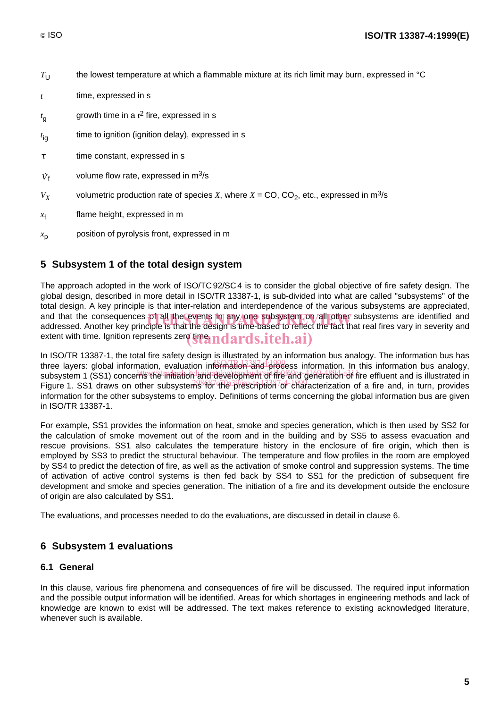$T_{11}$  the lowest temperature at which a flammable mixture at its rich limit may burn, expressed in  $\degree$ C

- *t* time, expressed in s
- *t* g growth time in a  $t^2$  fire, expressed in s
- $t_{\rm ig}$ <sub>ig</sub> time to ignition (ignition delay), expressed in s
- $\tau$  time constant, expressed in s
- time to ignition (ignition delay), expressed in s<br>  $V_f$  volume flow rate, expressed in m<sup>3</sup>/s
- $V_X$  volumetric production rate of species *X*, where  $X = CO$ ,  $CO_2$ , etc., expressed in m<sup>3</sup>/s
- $x_f$  flame height, expressed in m
- $x<sub>p</sub>$  position of pyrolysis front, expressed in m

# **5 Subsystem 1 of the total design system**

The approach adopted in the work of ISO/TC 92/SC 4 is to consider the global objective of fire safety design. The global design, described in more detail in ISO/TR 13387-1, is sub-divided into what are called "subsystems" of the total design. A key principle is that inter-relation and interdependence of the various subsystems are appreciated, and that the consequences of all the events in any one subsystem on all other subsystems are identified and<br>addressed. Another kev principle is that the design is time-based to reflect the fact that real fires vary in seve addressed. Another key principle is that the design is time-based to reflect the fact that real fires vary in severity and extent with time. Ignition represents zere  $\mathbf{y}$   $\mathbf{y}$   $\mathbf{q}$   $\mathbf{q}$   $\mathbf{q}$   $\mathbf{q}$   $\mathbf{s}$ .  $\mathbf{q}$   $\mathbf{t}$   $\mathbf{e}$   $\mathbf{h}$ .  $\mathbf{a}$   $\mathbf{i}$   $\mathbf{b}$ 

In ISO/TR 13387-1, the total fire safety design is illustrated by an information bus analogy. The information bus has three layers: global information, evaluation information and process information. In this information bus analogy, subsystem 1 (SS1) concerns the initiation and development of fire and generation of fire effluent and is illustrated in Figure 1. SS1 draws on other subsystems for the prescription of characterization of a fire and, in turn, provides information for the other subsystems to employ. Definitions of terms concerning the global information bus are given in ISO/TR 13387-1.

For example, SS1 provides the information on heat, smoke and species generation, which is then used by SS2 for the calculation of smoke movement out of the room and in the building and by SS5 to assess evacuation and rescue provisions. SS1 also calculates the temperature history in the enclosure of fire origin, which then is employed by SS3 to predict the structural behaviour. The temperature and flow profiles in the room are employed by SS4 to predict the detection of fire, as well as the activation of smoke control and suppression systems. The time of activation of active control systems is then fed back by SS4 to SS1 for the prediction of subsequent fire development and smoke and species generation. The initiation of a fire and its development outside the enclosure of origin are also calculated by SS1.

The evaluations, and processes needed to do the evaluations, are discussed in detail in clause 6.

# **6 Subsystem 1 evaluations**

#### **6.1 General**

In this clause, various fire phenomena and consequences of fire will be discussed. The required input information and the possible output information will be identified. Areas for which shortages in engineering methods and lack of knowledge are known to exist will be addressed. The text makes reference to existing acknowledged literature, whenever such is available.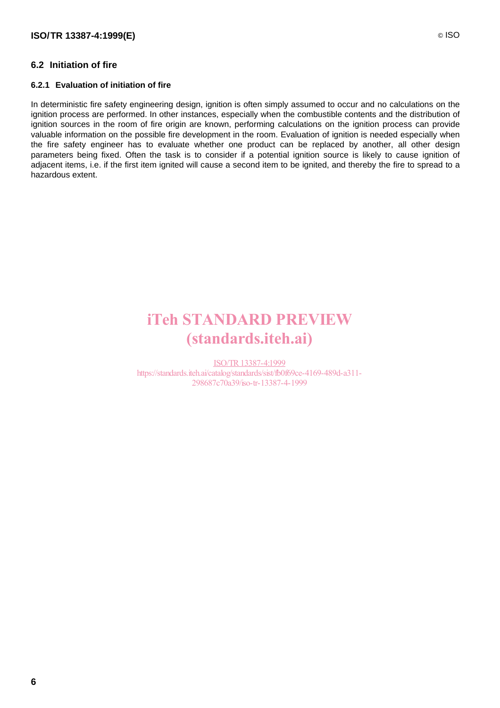# **6.2 Initiation of fire**

#### **6.2.1 Evaluation of initiation of fire**

In deterministic fire safety engineering design, ignition is often simply assumed to occur and no calculations on the ignition process are performed. In other instances, especially when the combustible contents and the distribution of ignition sources in the room of fire origin are known, performing calculations on the ignition process can provide valuable information on the possible fire development in the room. Evaluation of ignition is needed especially when the fire safety engineer has to evaluate whether one product can be replaced by another, all other design parameters being fixed. Often the task is to consider if a potential ignition source is likely to cause ignition of adjacent items, i.e. if the first item ignited will cause a second item to be ignited, and thereby the fire to spread to a hazardous extent.

# iTeh STANDARD PREVIEW (standards.iteh.ai)

ISO/TR13387-4:1999 https://standards.iteh.ai/catalog/standards/sist/fb0f69ce-4169-489d-a311- 298687c70a39/iso-tr-13387-4-1999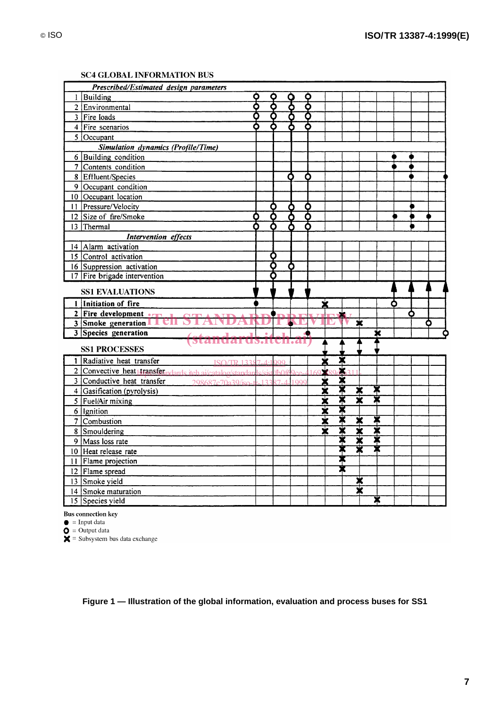| Prescribed/Estimated design parameters                                                                           |                                  |                    |        |                         |        |                              |                         |   |  |
|------------------------------------------------------------------------------------------------------------------|----------------------------------|--------------------|--------|-------------------------|--------|------------------------------|-------------------------|---|--|
| Building<br>1                                                                                                    | O                                |                    |        |                         |        |                              |                         |   |  |
| 2 Environmental                                                                                                  | ቕ                                | ₹                  | 우<br>웅 | <u>수</u>                |        |                              |                         |   |  |
| 3 Fire Ioads                                                                                                     | Ō                                |                    |        | δ                       |        |                              |                         |   |  |
| $4$   Fire scenarios                                                                                             |                                  |                    |        |                         |        |                              |                         |   |  |
| $5$ Occupant                                                                                                     |                                  |                    |        |                         |        |                              |                         |   |  |
| <b>Simulation dynamics (Profile/Time)</b>                                                                        |                                  |                    |        |                         |        |                              |                         |   |  |
| 6 Building condition                                                                                             |                                  |                    |        |                         |        |                              |                         |   |  |
| 7 Contents condition                                                                                             |                                  |                    |        |                         |        |                              |                         |   |  |
| 8 Effluent/Species                                                                                               |                                  |                    | Ο      | O                       |        |                              |                         |   |  |
| 9 Occupant condition                                                                                             |                                  |                    |        |                         |        |                              |                         |   |  |
| 10 Occupant location                                                                                             |                                  |                    |        |                         |        |                              |                         |   |  |
| 11 Pressure/Velocity                                                                                             |                                  |                    |        |                         |        |                              |                         |   |  |
| 12 Size of fire/Smoke                                                                                            | O                                | δ                  | 8<br>오 | <u>86</u><br>6          |        |                              |                         |   |  |
| 13 Thermal                                                                                                       |                                  |                    |        |                         |        |                              |                         |   |  |
| <b>Intervention</b> effects                                                                                      |                                  |                    |        |                         |        |                              |                         |   |  |
| 14 Alarm activation                                                                                              |                                  |                    |        |                         |        |                              |                         |   |  |
| 15 Control activation                                                                                            |                                  | O                  |        |                         |        |                              |                         |   |  |
| 16 Suppression activation                                                                                        |                                  |                    |        |                         |        |                              |                         |   |  |
| 17 Fire brigade intervention                                                                                     |                                  |                    |        |                         |        |                              |                         |   |  |
| <b>SS1 EVALUATIONS</b>                                                                                           |                                  |                    |        |                         |        |                              |                         |   |  |
| 1 Initiation of fire                                                                                             |                                  |                    |        |                         |        |                              |                         |   |  |
| 2 Fire development $\bullet$                                                                                     |                                  |                    |        |                         |        |                              |                         | O |  |
| 3 Smoke generation 1 1 CII S                                                                                     |                                  |                    | KI     |                         |        | $\overline{\mathbf{x}}$      |                         |   |  |
| <b>3</b> Species generation                                                                                      | $\bullet$                        |                    |        |                         |        |                              | ×                       |   |  |
|                                                                                                                  | us.iten.al                       |                    |        |                         |        |                              |                         |   |  |
| <b>SS1 PROCESSES</b>                                                                                             |                                  |                    |        |                         |        |                              |                         |   |  |
|                                                                                                                  |                                  |                    |        |                         |        |                              |                         |   |  |
| 1 Radiative heat transfer                                                                                        |                                  |                    |        |                         |        |                              |                         |   |  |
|                                                                                                                  | $\sqrt{180}$ TSO/TR 13387-4:1999 | $/$ fh $\Omega$ ff |        |                         | X      |                              |                         |   |  |
| 2 Convective heat transferments itch ai/catalog/standards/sist<br>3 Conductive heat transfer<br>298687c70a39/iso | $122$                            |                    | 1000   |                         | 2.11   |                              |                         |   |  |
| 4 Gasification (pyrolysis)                                                                                       |                                  |                    |        |                         |        |                              | Ж                       |   |  |
|                                                                                                                  |                                  |                    |        |                         |        | ≭<br>$\overline{\textbf{x}}$ | $\overline{\textbf{x}}$ |   |  |
| $5$ Fuel/Air mixing<br>$6$   Ignition                                                                            |                                  |                    |        | x x                     |        |                              |                         |   |  |
|                                                                                                                  |                                  |                    |        | $\overline{\textbf{x}}$ |        | ✖                            | X                       |   |  |
| 7 Combustion<br>8 Smouldering                                                                                    |                                  |                    |        | $\overline{\textbf{x}}$ | XXXXX  | $\overline{\textbf{x}}$      | ₮                       |   |  |
|                                                                                                                  |                                  |                    |        |                         |        | $\overline{\textbf{x}}$      | ₮                       |   |  |
| 9   Mass loss rate<br>10 Heat release rate                                                                       |                                  |                    |        |                         | ₮<br>≭ | $\overline{\mathbf{x}}$      | X                       |   |  |
|                                                                                                                  |                                  |                    |        |                         |        |                              |                         |   |  |
| 11 Flame projection                                                                                              |                                  |                    |        |                         | 家      |                              |                         |   |  |
| 12 Flame spread                                                                                                  |                                  |                    |        |                         |        |                              |                         |   |  |
| 13 Smoke yield<br>14 Smoke maturation                                                                            |                                  |                    |        |                         |        | ≭<br>Х                       |                         |   |  |

#### **SC4 GLOBAL INFORMATION BUS**

**Bus** connection key

 $\bullet$  = Input data<br>  $\bullet$  = Output data<br>  $\star$  = Subsystem bus data exchange

**Figure 1 — Illustration of the global information, evaluation and process buses for SS1**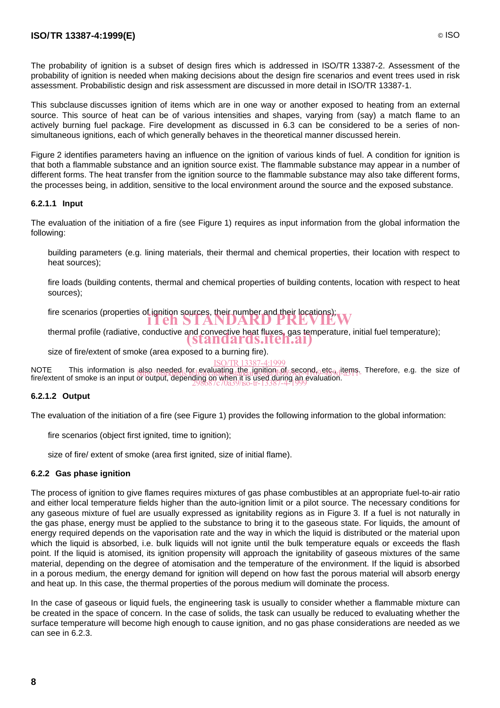The probability of ignition is a subset of design fires which is addressed in ISO/TR 13387-2. Assessment of the probability of ignition is needed when making decisions about the design fire scenarios and event trees used in risk assessment. Probabilistic design and risk assessment are discussed in more detail in ISO/TR 13387-1.

This subclause discusses ignition of items which are in one way or another exposed to heating from an external source. This source of heat can be of various intensities and shapes, varying from (say) a match flame to an actively burning fuel package. Fire development as discussed in 6.3 can be considered to be a series of nonsimultaneous ignitions, each of which generally behaves in the theoretical manner discussed herein.

Figure 2 identifies parameters having an influence on the ignition of various kinds of fuel. A condition for ignition is that both a flammable substance and an ignition source exist. The flammable substance may appear in a number of different forms. The heat transfer from the ignition source to the flammable substance may also take different forms, the processes being, in addition, sensitive to the local environment around the source and the exposed substance.

#### **6.2.1.1 Input**

The evaluation of the initiation of a fire (see Figure 1) requires as input information from the global information the following:

- building parameters (e.g. lining materials, their thermal and chemical properties, their location with respect to heat sources);
- fire loads (building contents, thermal and chemical properties of building contents, location with respect to heat sources);
- fire scenarios (properties of ignition sources, their number and their locations);<br> **ITEH STANDARD PREVIEW**
- thermal profile (radiative, conductive and convective heat fluxes, gas temperature, initial fuel temperature);
- size of fire/extent of smoke (area exposed to a burning fire). (standards.iteh.ai)
- ISO/TR13387-4:1999

NOTE This information is also needed for evaluating the ignition of second, etc., items. Therefore, e.g. the size of<br>fire/ovtent of emoke is an input dubbing induction of the ignition of second, and a311fire/extent of smoke is an input or output, depending on when it is used during an evaluation.<br>2086/c70a39/iso-tr-13387-4-1999

#### **6.2.1.2 Output**

The evaluation of the initiation of a fire (see Figure 1) provides the following information to the global information:

- fire scenarios (object first ignited, time to ignition);
- size of fire/ extent of smoke (area first ignited, size of initial flame).

#### **6.2.2 Gas phase ignition**

The process of ignition to give flames requires mixtures of gas phase combustibles at an appropriate fuel-to-air ratio and either local temperature fields higher than the auto-ignition limit or a pilot source. The necessary conditions for any gaseous mixture of fuel are usually expressed as ignitability regions as in Figure 3. If a fuel is not naturally in the gas phase, energy must be applied to the substance to bring it to the gaseous state. For liquids, the amount of energy required depends on the vaporisation rate and the way in which the liquid is distributed or the material upon which the liquid is absorbed, i.e. bulk liquids will not ignite until the bulk temperature equals or exceeds the flash point. If the liquid is atomised, its ignition propensity will approach the ignitability of gaseous mixtures of the same material, depending on the degree of atomisation and the temperature of the environment. If the liquid is absorbed in a porous medium, the energy demand for ignition will depend on how fast the porous material will absorb energy and heat up. In this case, the thermal properties of the porous medium will dominate the process.

In the case of gaseous or liquid fuels, the engineering task is usually to consider whether a flammable mixture can be created in the space of concern. In the case of solids, the task can usually be reduced to evaluating whether the surface temperature will become high enough to cause ignition, and no gas phase considerations are needed as we can see in 6.2.3.